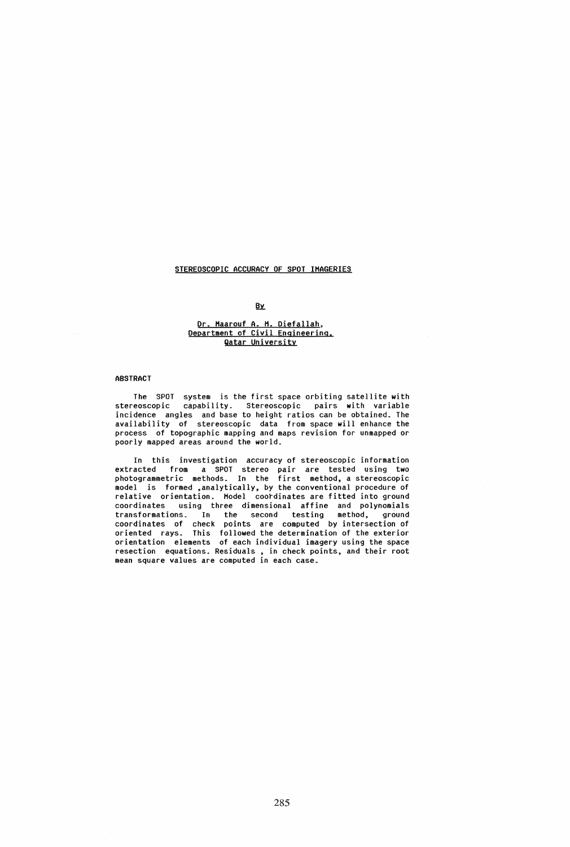# STEREOSCOPIC ACCURACY OF SPOT IHAGERIES

## **By**

#### Dr. Haarouf A. H. Oiefallah, Department of Civil Engineering. Qatar University

#### **ABSTRACT**

The SPOT system is the first space orbiting satellite with stereoscopic capability. Stereoscopic pairs with variable incidence angles and base to height ratios can be obtained. The availability of stereoscopic data from space will enhance the process of topographic mapping and maps revision for unmapped or poorly mapped areas around the world.

In this investigation accuracy of stereoscopic information extracted from a SPOT stereo pair are tested using two photogrammetric methods. In the first method, a stereoscopic model is formed ,analytically. by the conventional procedure of relative orientation. Hodel coordinates are fitted into ground coordinates using three dimensional affine and polynomials transformations. In the second testing method, ground coordinates of check points are computed by intersection of oriented rays. This followed the determination of the exterior orientation elements of each individual imagery using the space resection equations. Residuals • in check points, and their root mean square values are computed in each case.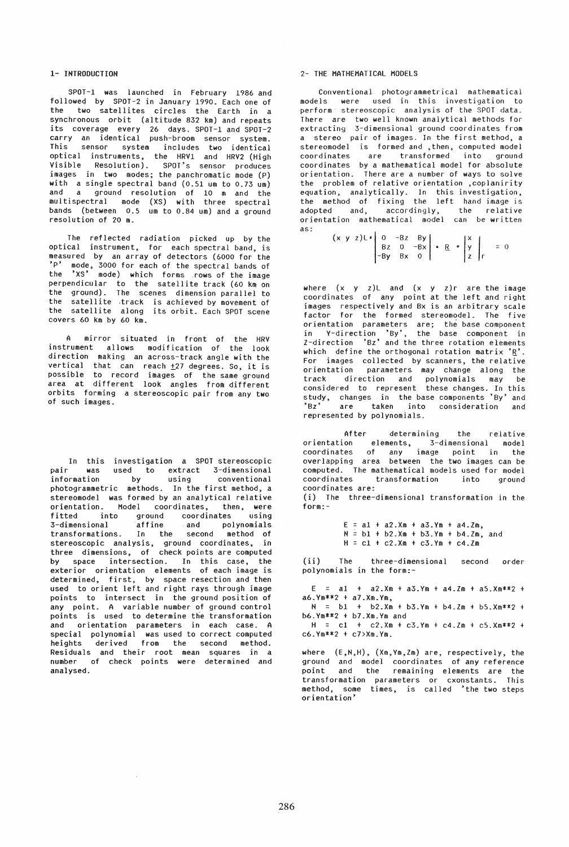### 1- INTRODUCTION

SPOT-1 was launched in February 1986 and followed by SPOT-2 in January 1990. Each one of the two satellites circles the Earth in a synchronous orbit (altitude 832 km) and repeats its coverage every 26 days. SPOT-1 and SPOT-2 carry an identical push-broom sensor system. This sensor system includes two identical optical instruments, the HRV1 and HRV2 (High Visible Resolution). SPOT's sensor produces images in two modes; the panchromatic mode (p) with a single spectral band (0.51 um to 0.73 um) and a ground resolution of 10 m and the multispectral mode (XS) with three spectral bands (between 0.5 um to 0.84 um) and a ground resolution of 20 m.

The reflected radiation picked up by the optical instrument, for each spectral band, is measured by an array of detectors (6000 for the<br>'<sup>D'</sup> mode, 3000 for each of the spectral bande of mode, 3000 for each of the spectral bands of the 'XS· mode) which forms .rows of the image perpendicular to the satellite track (60 km on the ground). The scenes dimension parallel to the satellite .track is achieved by movement of the satellite along its orbit. Each SPOT scene covers 60 km by 60 km.

mirror situated in front of the HRV instrument allows modification of the look direction making an across-track angle with the vertical that can reach  $\pm$ 27 degrees. So, it is possible to record images of the same ground area at different look angles from different orbits forming a stereoscopic pair from any two of such images.

In this investigation a SPOT stereoscopic pair was used to extract 3-dimensional information by using conventional photogrammetric methods. In the first method, a stereomodel was formed by an analytical relative orientation. Model coordinates, then, were<br>fitted into ground coordinates using into ground coordinates using 3-dimensional affine and polynomials transformations. In the second method of stereoscopic analysis, ground coordinates, in three dimensions. of check points are computed by space intersection. In this case, the exterior orientation elements of each image is determined, first, by space resection and then used to orient left and right rays through image points to intersect in the ground position of any point. A variable number of ground control points is used to determine the transformation and orientation parameters in each case. A special polynomial was used to correct computed<br>heights derived from the second method. derived from the second method. Residuals and their root mean squares in a number of check points were determined and analysed.

 $\sim$ 

### 2- THE MATHEMATICAL MODELS

conventional photogrammetrical mathematical models were used in this investigation to perform stereoscopic analysis of the SPOT data. There are two well known analytical methods for extracting 3-dimensional ground coordinates from a stereo pair of images. In the first method, a stereomodel is formed and ,then, computed model are transformed into ground coordinates by a mathematical model for absolute orientation. There are a number of ways to solve the problem of relative orientation ,coplanirity equation, analytically. In this investigation, the method of fixing the left hand image is adopted and, accordingly, the relative orientation mathematical model can be written as:

 $(x \ y \ z)$   $L \cdot \begin{vmatrix} 0 & -Bz & By \\ Bz & 0 & -Bx \\ -By & Bx & 0 \end{vmatrix} \cdot \frac{R}{Z} \cdot \begin{vmatrix} x \\ y \\ z \end{vmatrix} = 0$ 

where  $(x \ y \ z)$ L and  $(x \ y \ z)$ r are the image coordinates of any point at the left and right images respectively and Bx is an arbitrary scale factor for the formed stereomodel. The five orientation parameters are; the base component in V-direction 'BY'. the base component in I-direction 'Sz' and the three rotation elements which define the orthogonal rotation matrix  $R'$ . For images collected by scanners, the relative orientation parameters may change along the track direction and polynomials may be considered to represent these changes. In this study. changes in the base components 'By' and 'Bz' are taken into consideration and represented by polynomials.

After determining the relative orientation elements, 3-dimensional model coordinates of any image point in the overlapping area between the two images can be computed. The mathematical models used for model coordinates transformation into ground coordinates are:

(i) The three-dimensional transformation in the form:-

> $E = a1 + a2.$ Xm +  $a3.$ Ym +  $a4.$ Zm,  $N = b1 + b2$ .Xm +  $b3.Ym + b4.Zm$ , and  $H = c1 + c2$ .  $Xm + c3$ .  $Ym + c4$ .  $Zm$

(ii) The three-dimensional second order polynomials in the form:-

 $E = a1 + a2.$ Xm +  $a3.$ Ym +  $a4.$ Zm +  $a5.$ Xm \*\*2 + a6.Ym\*\*2 t a7.Xm.Ym.

 $N = b1 + b2.$ Xm + b3.Ym + b4.Zm + b5.Xm\*\*2 + b6.Ym\*\*2 + b7.Xm.Ym and

 $H = c1 + c2.$ Xm +  $c3.$ Ym +  $c4.$ Zm +  $c5.$ Xm \*\*2 + c6.Ym\*\*2 + c7>Xm.Ym.

where (E,N,H), (Xm,Ym.Zm) are, respectively, the ground and model coordinates of any reference point and the remaining elements are the transformation parameters or cxonstants. This method, some times, is called 'the two steps orientation'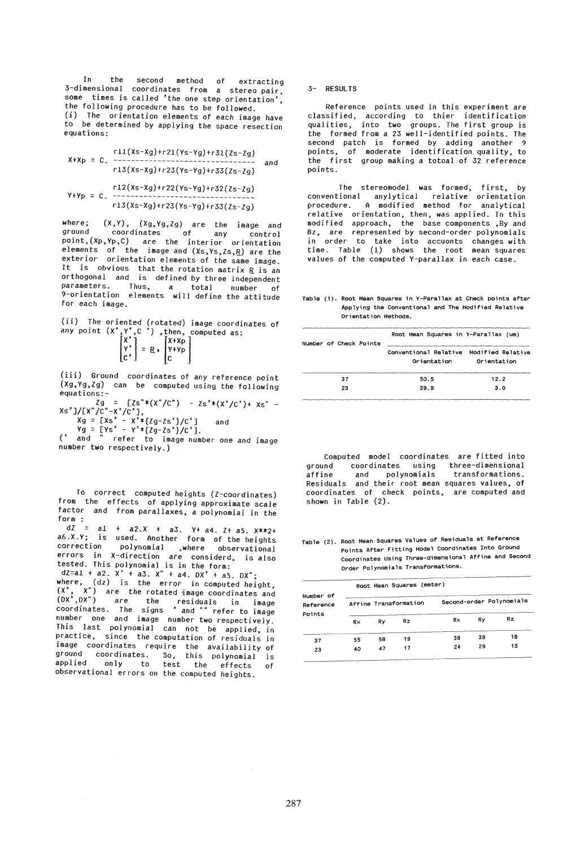In the second method of extracting 3-dimensional coordinates from a stereo pair, some times is called 'the one step orientation' the following procedure has to be followed. • (i) The orientation elements of each image have to be determined by applying the space resection equations:

$$
x+xp = C.
$$
  
\n
$$
x+xp = C.
$$
  
\n
$$
r11(Xs-xg)+r21(Ys-yg)+r31(Zs-zg)
$$
  
\n
$$
r13(Xs-xg)+r23(Ys-yg)+r33(Zs-zg)
$$
  
\n
$$
r12(Xs-xg)+r22(Ys-yg)+r32(Zs-zg)
$$
  
\n
$$
r13(Xs-xg)+r23(Ys-yg)+r33(Zs-zg)
$$

where; (X,Y), *(X9,Yg,lg)* are the image and ground coordinates of any control point,(XP.Yp,C) are the interior orientation elements of the image and (Xs,Ys,Zs,R) are the exterior orientation elements of the same image. It is obvious that the rotation matrix R is an orthogonal and is defined by three independent parameters. Thus, a total number of 9-orientation elements will define the attitude for each image.

(ii) The oriented (rotated) image coordinates of any point  $\begin{bmatrix} X^* \\ Y^* \end{bmatrix}$  =  $\begin{bmatrix} X+XP \\ I+XP \end{bmatrix}$ 

(iii) Ground coordinates of any reference point *(X9,Yg,lg)* can be computed using the following equations:-

*Ig* = [ls".CX"/C") - Is'\*(X'/C')+ Xs" - XS']/[X"/C"-X'/C'],  $Xg = [Xs^3 - X^**(Zg-Zs^*)/C^*]$  and

 $Yg = [Ys' - Y' * \{Zg-Zs'\}/C']$ .

(' and " refer to image number one and image number two respectively.)

To correct computed heights (I-coordinates) from the effects of applying approximate scale factor and from parallaxes, a polynomial in the form =

 $dZ = a1 + a2. X + a3. Y + a4. Z + a5. X**2+$ a6.X.Y; is used. Another form of the heights correction polynomial ,where observational errors in X-direction are considerd is also tested. This polynomial is in the form:'

*dl=al* + a2. X' + a3. X· + a4. OX' t as. OX"; where,  $(dz)$  is the error in computed height,  $(X^3, X^n)$  are the rotated image coordinates and (OX',OX") are the residuals in image coordinates. The signs ' and "" refer to image number one and image number two respectively. This last polynomial can not be applied, in practice, since the computation of residuals in image coordinates require the availability of ground coordinates. So, this polynomial is applied only to test the effects of observational errors on the computed heights.

3- RESULTS

Reference points used in this experiment are classified, according to thier identification qualities, into two groups. The first group is the formed from a 23 well-identified points. The second patch is formed by adding another 9 points, of moderate identification quality, to the first group making a totoal of 32 reference points.

The stereomodel was formed, first, by conventional anylytical relative orientation procedure. A modified method for analytical relative orientation, then, was applied. In this modified approach, the base components ,By and Bz, are represented by second-order polynomials in order to take into accuonts changes with time. Table (1) shows the root mean squares values of the computed V-parallax in each case.

Table (1). Root Mean Squares in V-Parallax at Check points after App lying the Conventional and The Modified Relative Orientation Methods.

| Number of Check Points | Root Mean Squares in Y-Parallax (um)                   |             |  |  |  |
|------------------------|--------------------------------------------------------|-------------|--|--|--|
|                        | Conventional Relative Modified Relative<br>Orientation | Orientation |  |  |  |
| 37                     | 50.5                                                   | 12.2        |  |  |  |
| 23                     | 39.9                                                   | 3.0         |  |  |  |

computed model coordinates are fitted into ground coordinates using three-dimensional<br>affine and polynomials transformations. affine and polynomials Residuals and their root mean squares values, of coordinates of check points, are computed and shown in Table (2).

Table (2). Root Mean Squares Values of Residuals at Reference Points After Fitting Model Coordinates Into Ground Coordinates Using Three-dimensional Affine and Second Order Polynomials Transformations.

| Number of<br>Reference<br>Points | Root Mean Squares (meter) |    |                |                          |    |     |  |  |
|----------------------------------|---------------------------|----|----------------|--------------------------|----|-----|--|--|
|                                  | Affine Transformation     |    |                | Second-order Polynomials |    |     |  |  |
|                                  | Rx                        | Rv | R <sub>z</sub> | Rx                       | Rv | Rz. |  |  |
| 37                               | 55                        | 58 | 19             | 38                       | 39 | 18  |  |  |
| 23                               | 40                        | 47 | 17             | 24                       | 29 | 13  |  |  |